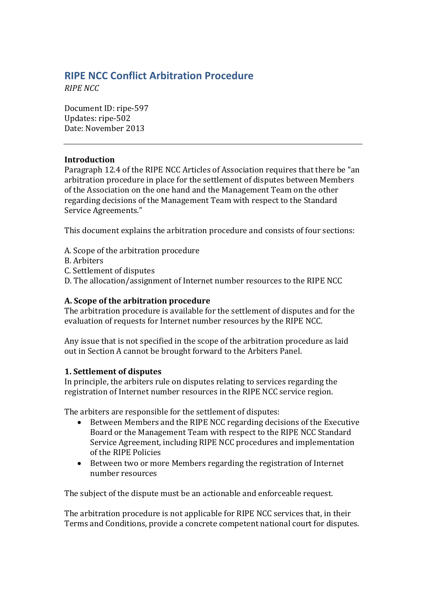# **RIPE NCC Conflict Arbitration Procedure**

*RIPE NCC*

Document ID: ripe-597 Updates: ripe-502 Date: November 2013

### **Introduction**

Paragraph 12.4 of the RIPE NCC Articles of Association requires that there be "an arbitration procedure in place for the settlement of disputes between Members of the Association on the one hand and the Management Team on the other regarding decisions of the Management Team with respect to the Standard Service Agreements."

This document explains the arbitration procedure and consists of four sections:

- A. Scope of the arbitration procedure
- B. Arbiters
- C. Settlement of disputes
- D. The allocation/assignment of Internet number resources to the RIPE NCC

### **A. Scope of the arbitration procedure**

The arbitration procedure is available for the settlement of disputes and for the evaluation of requests for Internet number resources by the RIPE NCC.

Any issue that is not specified in the scope of the arbitration procedure as laid out in Section A cannot be brought forward to the Arbiters Panel.

### **1. Settlement of disputes**

In principle, the arbiters rule on disputes relating to services regarding the registration of Internet number resources in the RIPE NCC service region.

The arbiters are responsible for the settlement of disputes:

- Between Members and the RIPE NCC regarding decisions of the Executive Board or the Management Team with respect to the RIPE NCC Standard Service Agreement, including RIPE NCC procedures and implementation of the RIPE Policies
- Between two or more Members regarding the registration of Internet number resources

The subject of the dispute must be an actionable and enforceable request.

The arbitration procedure is not applicable for RIPE NCC services that, in their Terms and Conditions, provide a concrete competent national court for disputes.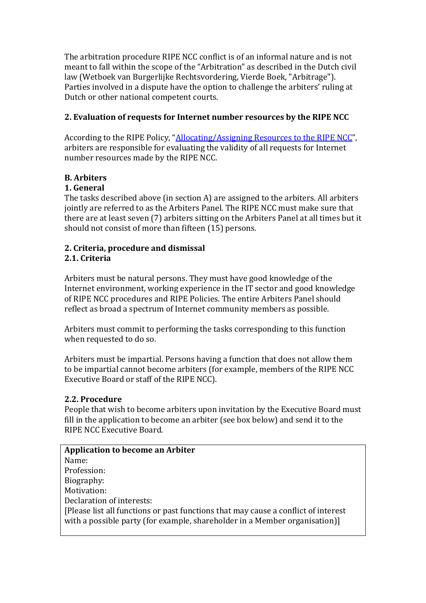The arbitration procedure RIPE NCC conflict is of an informal nature and is not meant to fall within the scope of the "Arbitration" as described in the Dutch civil law (Wetboek van Burgerlijke Rechtsvordering, Vierde Boek, "Arbitrage"). Parties involved in a dispute have the option to challenge the arbiters' ruling at Dutch or other national competent courts.

### **2. Evaluation of requests for Internet number resources by the RIPE NCC**

According to the RIPE Policy, "[Allocating/Assigning Resources to the RIPE NCC](https://www.ripe.net/ripe/docs/ncc-resources)", arbiters are responsible for evaluating the validity of all requests for Internet number resources made by the RIPE NCC.

## **B. Arbiters**

### **1. General**

The tasks described above (in section A) are assigned to the arbiters. All arbiters jointly are referred to as the Arbiters Panel. The RIPE NCC must make sure that there are at least seven (7) arbiters sitting on the Arbiters Panel at all times but it should not consist of more than fifteen (15) persons.

#### **2. Criteria, procedure and dismissal 2.1. Criteria**

Arbiters must be natural persons. They must have good knowledge of the Internet environment, working experience in the IT sector and good knowledge of RIPE NCC procedures and RIPE Policies. The entire Arbiters Panel should reflect as broad a spectrum of Internet community members as possible.

Arbiters must commit to performing the tasks corresponding to this function when requested to do so.

Arbiters must be impartial. Persons having a function that does not allow them to be impartial cannot become arbiters (for example, members of the RIPE NCC Executive Board or staff of the RIPE NCC).

#### **2.2. Procedure**

People that wish to become arbiters upon invitation by the Executive Board must fill in the application to become an arbiter (see box below) and send it to the RIPE NCC Executive Board.

| <b>Application to become an Arbiter</b>                                                                                                                          |
|------------------------------------------------------------------------------------------------------------------------------------------------------------------|
| Name:                                                                                                                                                            |
| Profession:                                                                                                                                                      |
| Biography:                                                                                                                                                       |
| Motivation:                                                                                                                                                      |
| Declaration of interests:                                                                                                                                        |
| [Please list all functions or past functions that may cause a conflict of interest<br>with a possible party (for example, shareholder in a Member organisation)] |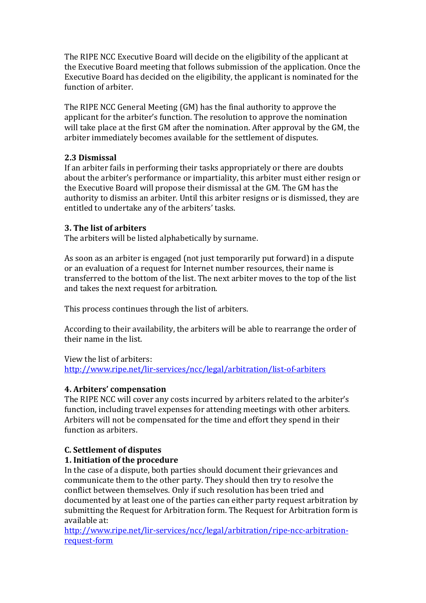The RIPE NCC Executive Board will decide on the eligibility of the applicant at the Executive Board meeting that follows submission of the application. Once the Executive Board has decided on the eligibility, the applicant is nominated for the function of arbiter.

The RIPE NCC General Meeting (GM) has the final authority to approve the applicant for the arbiter's function. The resolution to approve the nomination will take place at the first GM after the nomination. After approval by the GM, the arbiter immediately becomes available for the settlement of disputes.

### **2.3 Dismissal**

If an arbiter fails in performing their tasks appropriately or there are doubts about the arbiter's performance or impartiality, this arbiter must either resign or the Executive Board will propose their dismissal at the GM. The GM has the authority to dismiss an arbiter. Until this arbiter resigns or is dismissed, they are entitled to undertake any of the arbiters' tasks.

#### **3. The list of arbiters**

The arbiters will be listed alphabetically by surname.

As soon as an arbiter is engaged (not just temporarily put forward) in a dispute or an evaluation of a request for Internet number resources, their name is transferred to the bottom of the list. The next arbiter moves to the top of the list and takes the next request for arbitration.

This process continues through the list of arbiters.

According to their availability, the arbiters will be able to rearrange the order of their name in the list.

#### View the list of arbiters:

<http://www.ripe.net/lir-services/ncc/legal/arbitration/list-of-arbiters>

### **4. Arbiters' compensation**

The RIPE NCC will cover any costs incurred by arbiters related to the arbiter's function, including travel expenses for attending meetings with other arbiters. Arbiters will not be compensated for the time and effort they spend in their function as arbiters.

### **C. Settlement of disputes**

### **1. Initiation of the procedure**

In the case of a dispute, both parties should document their grievances and communicate them to the other party. They should then try to resolve the conflict between themselves. Only if such resolution has been tried and documented by at least one of the parties can either party request arbitration by submitting the Request for Arbitration form. The Request for Arbitration form is available at:

[http://www.ripe.net/lir-services/ncc/legal/arbitration/ripe-ncc-arbitration](http://www.ripe.net/lir-services/ncc/legal/arbitration/ripe-ncc-arbitration-request-form)[request-form](http://www.ripe.net/lir-services/ncc/legal/arbitration/ripe-ncc-arbitration-request-form)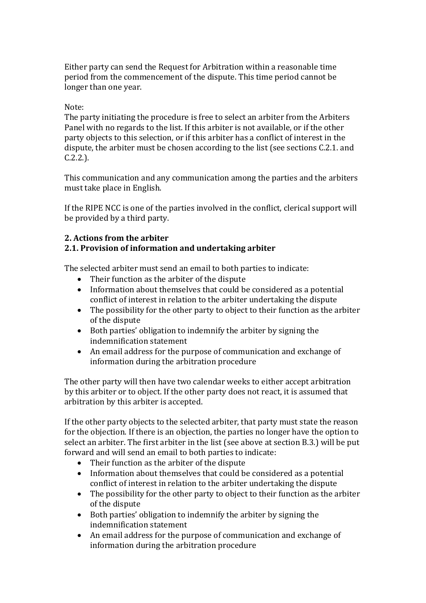Either party can send the Request for Arbitration within a reasonable time period from the commencement of the dispute. This time period cannot be longer than one year.

#### Note:

The party initiating the procedure is free to select an arbiter from the Arbiters Panel with no regards to the list. If this arbiter is not available, or if the other party objects to this selection, or if this arbiter has a conflict of interest in the dispute, the arbiter must be chosen according to the list (see sections C.2.1. and C.2.2.).

This communication and any communication among the parties and the arbiters must take place in English.

If the RIPE NCC is one of the parties involved in the conflict, clerical support will be provided by a third party.

### **2. Actions from the arbiter**

### **2.1. Provision of information and undertaking arbiter**

The selected arbiter must send an email to both parties to indicate:

- Their function as the arbiter of the dispute
- Information about themselves that could be considered as a potential conflict of interest in relation to the arbiter undertaking the dispute
- The possibility for the other party to object to their function as the arbiter of the dispute
- Both parties' obligation to indemnify the arbiter by signing the indemnification statement
- An email address for the purpose of communication and exchange of information during the arbitration procedure

The other party will then have two calendar weeks to either accept arbitration by this arbiter or to object. If the other party does not react, it is assumed that arbitration by this arbiter is accepted.

If the other party objects to the selected arbiter, that party must state the reason for the objection. If there is an objection, the parties no longer have the option to select an arbiter. The first arbiter in the list (see above at section B.3.) will be put forward and will send an email to both parties to indicate:

- Their function as the arbiter of the dispute
- Information about themselves that could be considered as a potential conflict of interest in relation to the arbiter undertaking the dispute
- The possibility for the other party to object to their function as the arbiter of the dispute
- Both parties' obligation to indemnify the arbiter by signing the indemnification statement
- An email address for the purpose of communication and exchange of information during the arbitration procedure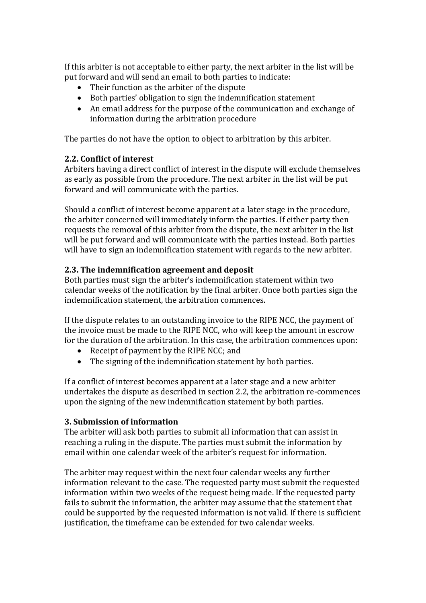If this arbiter is not acceptable to either party, the next arbiter in the list will be put forward and will send an email to both parties to indicate:

- Their function as the arbiter of the dispute
- Both parties' obligation to sign the indemnification statement
- An email address for the purpose of the communication and exchange of information during the arbitration procedure

The parties do not have the option to object to arbitration by this arbiter.

### **2.2. Conflict of interest**

Arbiters having a direct conflict of interest in the dispute will exclude themselves as early as possible from the procedure. The next arbiter in the list will be put forward and will communicate with the parties.

Should a conflict of interest become apparent at a later stage in the procedure, the arbiter concerned will immediately inform the parties. If either party then requests the removal of this arbiter from the dispute, the next arbiter in the list will be put forward and will communicate with the parties instead. Both parties will have to sign an indemnification statement with regards to the new arbiter.

### **2.3. The indemnification agreement and deposit**

Both parties must sign the arbiter's indemnification statement within two calendar weeks of the notification by the final arbiter. Once both parties sign the indemnification statement, the arbitration commences.

If the dispute relates to an outstanding invoice to the RIPE NCC, the payment of the invoice must be made to the RIPE NCC, who will keep the amount in escrow for the duration of the arbitration. In this case, the arbitration commences upon:

- Receipt of payment by the RIPE NCC; and
- The signing of the indemnification statement by both parties.

If a conflict of interest becomes apparent at a later stage and a new arbiter undertakes the dispute as described in section 2.2, the arbitration re-commences upon the signing of the new indemnification statement by both parties.

#### **3. Submission of information**

The arbiter will ask both parties to submit all information that can assist in reaching a ruling in the dispute. The parties must submit the information by email within one calendar week of the arbiter's request for information.

The arbiter may request within the next four calendar weeks any further information relevant to the case. The requested party must submit the requested information within two weeks of the request being made. If the requested party fails to submit the information, the arbiter may assume that the statement that could be supported by the requested information is not valid. If there is sufficient justification, the timeframe can be extended for two calendar weeks.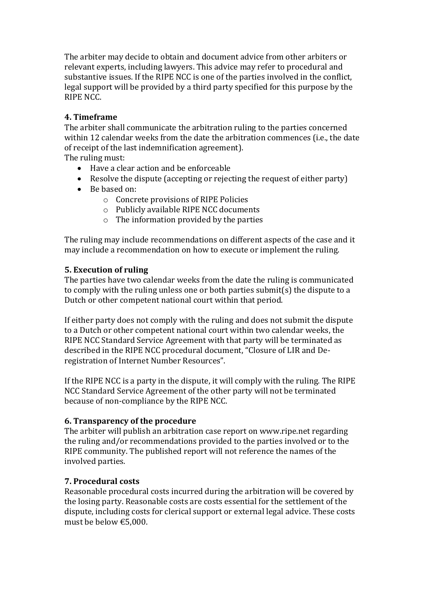The arbiter may decide to obtain and document advice from other arbiters or relevant experts, including lawyers. This advice may refer to procedural and substantive issues. If the RIPE NCC is one of the parties involved in the conflict, legal support will be provided by a third party specified for this purpose by the RIPE NCC.

### **4. Timeframe**

The arbiter shall communicate the arbitration ruling to the parties concerned within 12 calendar weeks from the date the arbitration commences (i.e., the date of receipt of the last indemnification agreement).

The ruling must:

- Have a clear action and be enforceable
- Resolve the dispute (accepting or rejecting the request of either party)
- Be based on:
	- o Concrete provisions of RIPE Policies
	- o Publicly available RIPE NCC documents
	- o The information provided by the parties

The ruling may include recommendations on different aspects of the case and it may include a recommendation on how to execute or implement the ruling.

#### **5. Execution of ruling**

The parties have two calendar weeks from the date the ruling is communicated to comply with the ruling unless one or both parties submit(s) the dispute to a Dutch or other competent national court within that period.

If either party does not comply with the ruling and does not submit the dispute to a Dutch or other competent national court within two calendar weeks, the RIPE NCC Standard Service Agreement with that party will be terminated as described in the RIPE NCC procedural document, "Closure of LIR and Deregistration of Internet Number Resources".

If the RIPE NCC is a party in the dispute, it will comply with the ruling. The RIPE NCC Standard Service Agreement of the other party will not be terminated because of non-compliance by the RIPE NCC.

#### **6. Transparency of the procedure**

The arbiter will publish an arbitration case report on www.ripe.net regarding the ruling and/or recommendations provided to the parties involved or to the RIPE community. The published report will not reference the names of the involved parties.

### **7. Procedural costs**

Reasonable procedural costs incurred during the arbitration will be covered by the losing party. Reasonable costs are costs essential for the settlement of the dispute, including costs for clerical support or external legal advice. These costs must be below €5,000.